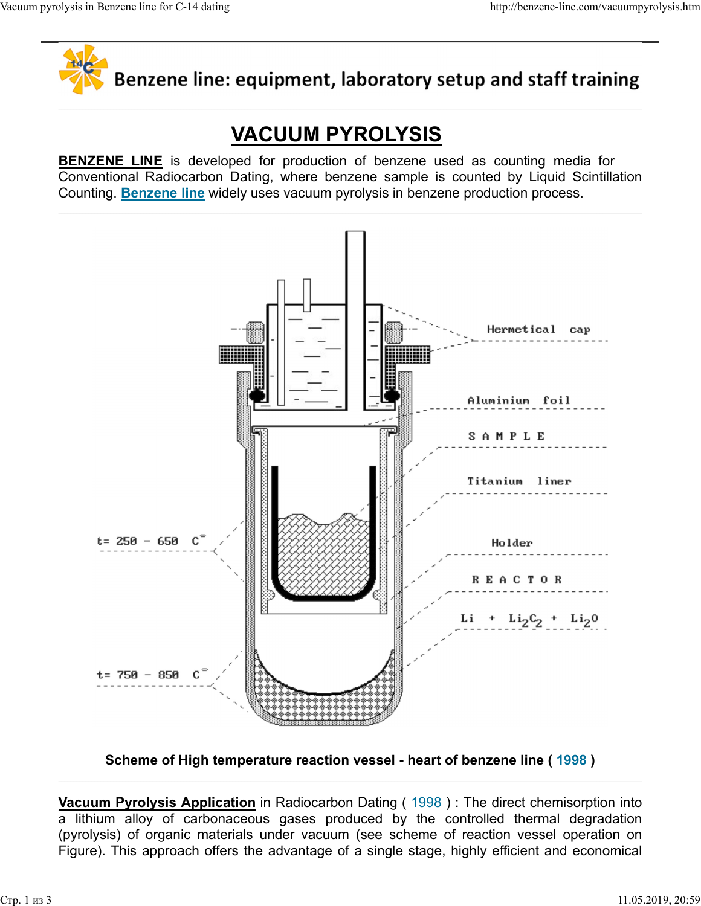

Vacuum pyrolysis in Benzene line for C-14 dating http://benzene-line.com/vacuumpyrolysis.htm<br> **Algebridge Renzene line: equipment. laboratory setup and staff training** 

## VACUUM PYROLYSIS

BENZENE LINE is developed for production of benzene used as counting media for<br>Conventional Radiocarbon Dating, where benzene sample is counted by Liquid Scintillation<br>Conventional Radiocarbon Dating, where benzene sample Conventional Radiocarbon Dating, where benzene sample is counted by Liquid Scintillation Counting. Benzene line widely uses vacuum pyrolysis in benzene production process.



Scheme of High temperature reaction vessel - heart of benzene line ( 1998 )

Vacuum Pyrolysis Application in Radiocarbon Dating (1998): The direct chemisorption into (pyrolysis) of organic materials under vacuum (see scheme of reaction vessel operation on Figure). This approach offers the advantage of a single stage, highly efficient and economical